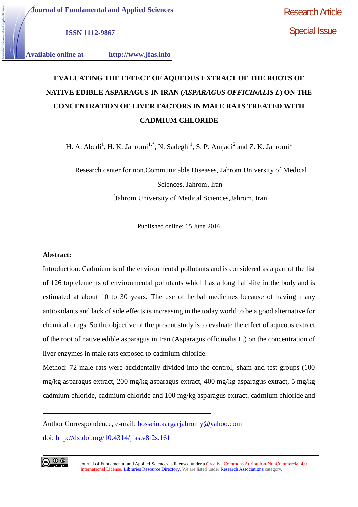Special Issue

**ISSN 1112-9867 ISSN** 

**Available online at http://www.jfas.info**

# **EVALUATING THE EFFECT OF AQUEOUS EXTRACT OF THE ROOTS OF NATIVE EDIBLE ASPARAGUS IN IRAN (***ASPARAGUS OFFICINALIS L***) ON THE CONCENTRATION OF LIVER FACTORS IN MALE RATS TREATED WITH CADMIUM CHLORIDE**

H. A. Abedi<sup>1</sup>, H. K. Jahromi<sup>1,\*</sup>, N. Sadeghi<sup>1</sup>, S. P. Amjadi<sup>2</sup> and Z. K. Jahromi<sup>1</sup>

<sup>1</sup>Research center for non.Communicable Diseases, Jahrom University of Medical Sciences, Jahrom, Iran <sup>2</sup>Jahrom University of Medical Sciences,Jahrom, Iran

Published online: 15 June 2016

# **Abstract: Abstract:**

Introduction: Cadmium is of the environmental pollutants and is considered as a part of the list of 126 top elements of environmental pollutants which has a long half-life in the body and is estimated at about 10 to 30 years. The use of herbal medicines because of having many antioxidants and lack of side effects is increasing in the today world to be a good alternative for chemical drugs. So the objective of the present study is to evaluate the effect of aqueous extract of the root of native edible asparagus in Iran (Asparagus officinalis L.) on the concentration of liver enzymes in male rats exposed to cadmium chloride. **INSTITE EDIBLE ASPARAGUS IN IRAN (ASPARAGUS OFFICINALIS L)**<br> **CONCENTRATION OF LIVER FACTORS IN MALE RATS TREATED**<br> **CADMIUM CHLORIDE**<br> **H. A. Abedi<sup>1</sup>, H. K. Jahromi<sup>12</sup><sup>5</sup>, N. Sadeghi<sup>1</sup>, S. P. Amjadi<sup>2</sup> and Z. K. Jahro** estimated at about 10 to 30 years. The use of herbal medicines because of having mantioxidants and lack of side effects is increasing in the today world to be a good alternative chemical drugs. So the objective of the pres

Method: 72 male rats were accidentally divided into the control, sham and test groups (100 mg/kg asparagus extract, 200 mg/kg asparagus extract, 400 mg/kg asparagus extract, 5 mg/kg cadmium chloride, cadmium chloride and 100 mg/kg asparagus extract, cadmium chloride and

Author Correspondence, e-mail: hossein.kargarjahromy@yahoo.com doi: http://dx.doi.org/10.4314/jfas.v8i2s.161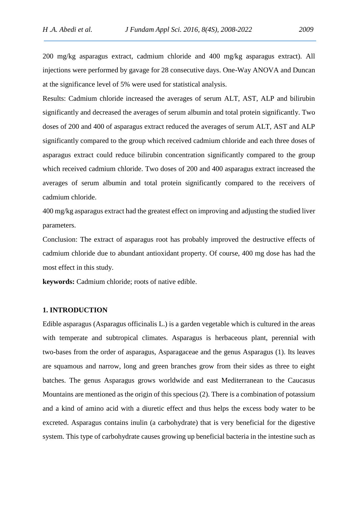200 mg/kg asparagus extract, cadmium chloride and 400 mg/kg asparagus extract). All injections were performed by gavage for 28 consecutive days. One-Way ANOVA and Duncan at the significance level of 5% were used for statistical analysis.

Results: Cadmium chloride increased the averages of serum ALT, AST, ALP and bilirubin significantly and decreased the averages of serum albumin and total protein significantly. Two doses of 200 and 400 of asparagus extract reduced the averages of serum ALT, AST and ALP significantly compared to the group which received cadmium chloride and each three doses of asparagus extract could reduce bilirubin concentration significantly compared to the group which received cadmium chloride. Two doses of 200 and 400 asparagus extract increased the averages of serum albumin and total protein significantly compared to the receivers of cadmium chloride.

400 mg/kg asparagus extract had the greatest effect on improving and adjusting the studied liver parameters.

Conclusion: The extract of asparagus root has probably improved the destructive effects of cadmium chloride due to abundant antioxidant property. Of course, 400 mg dose has had the most effect in this study.

**keywords:** Cadmium chloride; roots of native edible.

### **1. INTRODUCTION**

Edible asparagus (Asparagus officinalis L.) is a garden vegetable which is cultured in the areas with temperate and subtropical climates. Asparagus is herbaceous plant, perennial with two-bases from the order of asparagus, Asparagaceae and the genus Asparagus (1). Its leaves are squamous and narrow, long and green branches grow from their sides as three to eight batches. The genus Asparagus grows worldwide and east Mediterranean to the Caucasus Mountains are mentioned as the origin of this specious (2). There is a combination of potassium and a kind of amino acid with a diuretic effect and thus helps the excess body water to be excreted. Asparagus contains inulin (a carbohydrate) that is very beneficial for the digestive system. This type of carbohydrate causes growing up beneficial bacteria in the intestine such as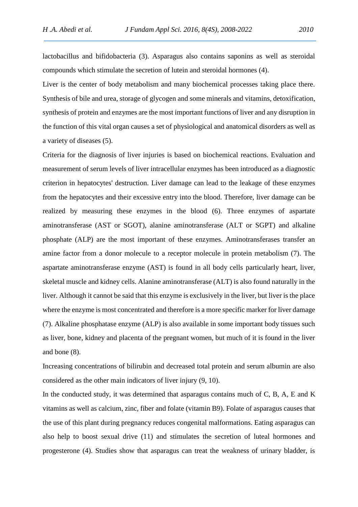lactobacillus and bifidobacteria (3). Asparagus also contains saponins as well as steroidal compounds which stimulate the secretion of lutein and steroidal hormones (4).

Liver is the center of body metabolism and many biochemical processes taking place there. Synthesis of bile and urea, storage of glycogen and some minerals and vitamins, detoxification, synthesis of protein and enzymes are the most important functions of liver and any disruption in the function of this vital organ causes a set of physiological and anatomical disorders as well as a variety of diseases (5).

Criteria for the diagnosis of liver injuries is based on biochemical reactions. Evaluation and measurement of serum levels of liver intracellular enzymes has been introduced as a diagnostic criterion in hepatocytes' destruction. Liver damage can lead to the leakage of these enzymes from the hepatocytes and their excessive entry into the blood. Therefore, liver damage can be realized by measuring these enzymes in the blood (6). Three enzymes of aspartate aminotransferase (AST or SGOT), alanine aminotransferase (ALT or SGPT) and alkaline phosphate (ALP) are the most important of these enzymes. Aminotransferases transfer an amine factor from a donor molecule to a receptor molecule in protein metabolism (7). The aspartate aminotransferase enzyme (AST) is found in all body cells particularly heart, liver, skeletal muscle and kidney cells. Alanine aminotransferase (ALT) is also found naturally in the liver. Although it cannot be said that this enzyme is exclusively in the liver, but liver is the place where the enzyme is most concentrated and therefore is a more specific marker for liver damage (7). Alkaline phosphatase enzyme (ALP) is also available in some important body tissues such as liver, bone, kidney and placenta of the pregnant women, but much of it is found in the liver and bone (8).

Increasing concentrations of bilirubin and decreased total protein and serum albumin are also considered as the other main indicators of liver injury (9, 10).

In the conducted study, it was determined that asparagus contains much of C, B, A, E and K vitamins as well as calcium, zinc, fiber and folate (vitamin B9). Folate of asparagus causes that the use of this plant during pregnancy reduces congenital malformations. Eating asparagus can also help to boost sexual drive (11) and stimulates the secretion of luteal hormones and progesterone (4). Studies show that asparagus can treat the weakness of urinary bladder, is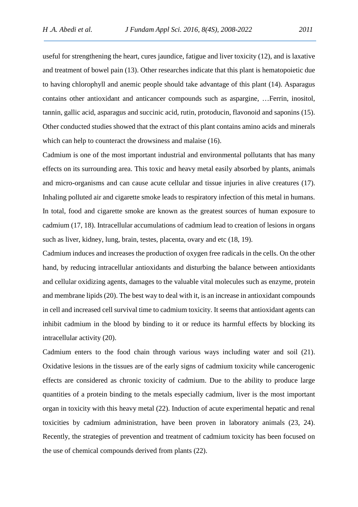useful for strengthening the heart, cures jaundice, fatigue and liver toxicity (12), and is laxative and treatment of bowel pain (13). Other researches indicate that this plant is hematopoietic due to having chlorophyll and anemic people should take advantage of this plant (14). Asparagus contains other antioxidant and anticancer compounds such as aspargine, …Ferrin, inositol, tannin, gallic acid, asparagus and succinic acid, rutin, protoducin, flavonoid and saponins (15). Other conducted studies showed that the extract of this plant contains amino acids and minerals which can help to counteract the drowsiness and malaise (16).

Cadmium is one of the most important industrial and environmental pollutants that has many effects on its surrounding area. This toxic and heavy metal easily absorbed by plants, animals and micro-organisms and can cause acute cellular and tissue injuries in alive creatures (17). Inhaling polluted air and cigarette smoke leads to respiratory infection of this metal in humans. In total, food and cigarette smoke are known as the greatest sources of human exposure to cadmium (17, 18). Intracellular accumulations of cadmium lead to creation of lesions in organs such as liver, kidney, lung, brain, testes, placenta, ovary and etc (18, 19).

Cadmium induces and increases the production of oxygen free radicals in the cells. On the other hand, by reducing intracellular antioxidants and disturbing the balance between antioxidants and cellular oxidizing agents, damages to the valuable vital molecules such as enzyme, protein and membrane lipids (20). The best way to deal with it, is an increase in antioxidant compounds in cell and increased cell survival time to cadmium toxicity. It seems that antioxidant agents can inhibit cadmium in the blood by binding to it or reduce its harmful effects by blocking its intracellular activity (20).

Cadmium enters to the food chain through various ways including water and soil (21). Oxidative lesions in the tissues are of the early signs of cadmium toxicity while cancerogenic effects are considered as chronic toxicity of cadmium. Due to the ability to produce large quantities of a protein binding to the metals especially cadmium, liver is the most important organ in toxicity with this heavy metal (22). Induction of acute experimental hepatic and renal toxicities by cadmium administration, have been proven in laboratory animals (23, 24). Recently, the strategies of prevention and treatment of cadmium toxicity has been focused on the use of chemical compounds derived from plants (22).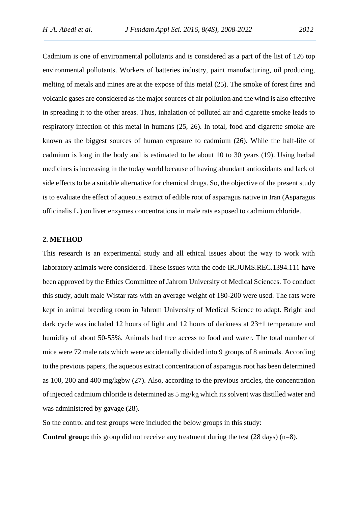Cadmium is one of environmental pollutants and is considered as a part of the list of 126 top environmental pollutants. Workers of batteries industry, paint manufacturing, oil producing, melting of metals and mines are at the expose of this metal (25). The smoke of forest fires and volcanic gases are considered as the major sources of air pollution and the wind is also effective in spreading it to the other areas. Thus, inhalation of polluted air and cigarette smoke leads to respiratory infection of this metal in humans (25, 26). In total, food and cigarette smoke are known as the biggest sources of human exposure to cadmium (26). While the half-life of cadmium is long in the body and is estimated to be about 10 to 30 years (19). Using herbal medicines is increasing in the today world because of having abundant antioxidants and lack of side effects to be a suitable alternative for chemical drugs. So, the objective of the present study is to evaluate the effect of aqueous extract of edible root of asparagus native in Iran (Asparagus officinalis L.) on liver enzymes concentrations in male rats exposed to cadmium chloride.

### **2. METHOD**

This research is an experimental study and all ethical issues about the way to work with laboratory animals were considered. These issues with the code IR.JUMS.REC.1394.111 have been approved by the Ethics Committee of Jahrom University of Medical Sciences. To conduct this study, adult male Wistar rats with an average weight of 180-200 were used. The rats were kept in animal breeding room in Jahrom University of Medical Science to adapt. Bright and dark cycle was included 12 hours of light and 12 hours of darkness at 23±1 temperature and humidity of about 50-55%. Animals had free access to food and water. The total number of mice were 72 male rats which were accidentally divided into 9 groups of 8 animals. According to the previous papers, the aqueous extract concentration of asparagus root has been determined as 100, 200 and 400 mg/kgbw (27). Also, according to the previous articles, the concentration of injected cadmium chloride is determined as 5 mg/kg which its solvent was distilled water and was administered by gavage (28).

So the control and test groups were included the below groups in this study:

**Control group:** this group did not receive any treatment during the test (28 days) (n=8).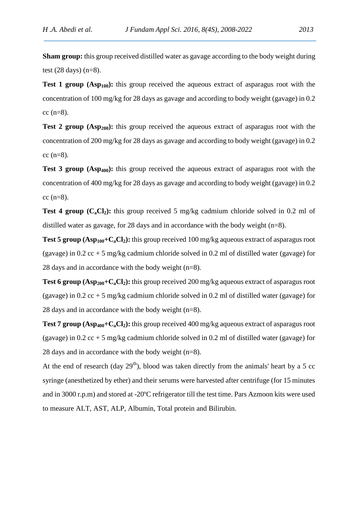**Sham group:** this group received distilled water as gavage according to the body weight during test  $(28 \text{ days})$   $(n=8)$ .

**Test 1 group (Asp<sub>100</sub>):** this group received the aqueous extract of asparagus root with the concentration of 100 mg/kg for 28 days as gavage and according to body weight (gavage) in 0.2  $cc$  (n=8).

**Test 2 group (Asp<sub>200</sub>):** this group received the aqueous extract of asparagus root with the concentration of 200 mg/kg for 28 days as gavage and according to body weight (gavage) in 0.2  $cc$  (n=8).

**Test 3 group (Asp<sub>400</sub>):** this group received the aqueous extract of asparagus root with the concentration of 400 mg/kg for 28 days as gavage and according to body weight (gavage) in 0.2  $cc$  (n=8).

**Test 4 group (C<sub>a</sub>Cl<sub>2</sub>):** this group received 5 mg/kg cadmium chloride solved in 0.2 ml of distilled water as gavage, for 28 days and in accordance with the body weight (n=8).

**Test 5 group (Asp100+CaCl2):** this group received 100 mg/kg aqueous extract of asparagus root (gavage) in 0.2 cc + 5 mg/kg cadmium chloride solved in 0.2 ml of distilled water (gavage) for 28 days and in accordance with the body weight (n=8).

**Test 6 group (Asp<sub>200</sub>+C<sub>a</sub>Cl<sub>2</sub>):** this group received 200 mg/kg aqueous extract of asparagus root (gavage) in 0.2  $cc + 5$  mg/kg cadmium chloride solved in 0.2 ml of distilled water (gavage) for 28 days and in accordance with the body weight (n=8).

**Test 7 group (Asp<sub>400</sub>+C<sub>a</sub>Cl<sub>2</sub>):** this group received 400 mg/kg aqueous extract of asparagus root (gavage) in 0.2 cc + 5 mg/kg cadmium chloride solved in 0.2 ml of distilled water (gavage) for 28 days and in accordance with the body weight (n=8).

At the end of research (day  $29<sup>th</sup>$ ), blood was taken directly from the animals' heart by a 5 cc syringe (anesthetized by ether) and their serums were harvested after centrifuge (for 15 minutes and in 3000 r.p.m) and stored at -20ºC refrigerator till the test time. Pars Azmoon kits were used to measure ALT, AST, ALP, Albumin, Total protein and Bilirubin.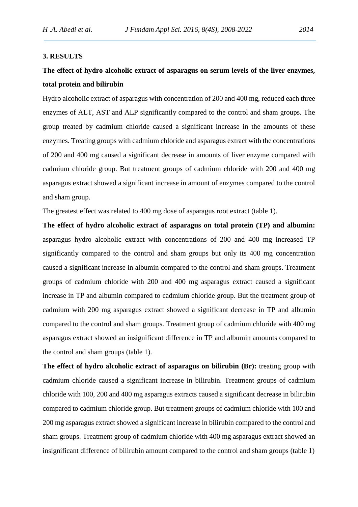## **3. RESULTS**

# **The effect of hydro alcoholic extract of asparagus on serum levels of the liver enzymes, total protein and bilirubin**

Hydro alcoholic extract of asparagus with concentration of 200 and 400 mg, reduced each three enzymes of ALT, AST and ALP significantly compared to the control and sham groups. The group treated by cadmium chloride caused a significant increase in the amounts of these enzymes. Treating groups with cadmium chloride and asparagus extract with the concentrations of 200 and 400 mg caused a significant decrease in amounts of liver enzyme compared with cadmium chloride group. But treatment groups of cadmium chloride with 200 and 400 mg asparagus extract showed a significant increase in amount of enzymes compared to the control and sham group.

The greatest effect was related to 400 mg dose of asparagus root extract (table 1).

**The effect of hydro alcoholic extract of asparagus on total protein (TP) and albumin:** asparagus hydro alcoholic extract with concentrations of 200 and 400 mg increased TP significantly compared to the control and sham groups but only its 400 mg concentration caused a significant increase in albumin compared to the control and sham groups. Treatment groups of cadmium chloride with 200 and 400 mg asparagus extract caused a significant increase in TP and albumin compared to cadmium chloride group. But the treatment group of cadmium with 200 mg asparagus extract showed a significant decrease in TP and albumin compared to the control and sham groups. Treatment group of cadmium chloride with 400 mg asparagus extract showed an insignificant difference in TP and albumin amounts compared to the control and sham groups (table 1).

**The effect of hydro alcoholic extract of asparagus on bilirubin (Br):** treating group with cadmium chloride caused a significant increase in bilirubin. Treatment groups of cadmium chloride with 100, 200 and 400 mg asparagus extracts caused a significant decrease in bilirubin compared to cadmium chloride group. But treatment groups of cadmium chloride with 100 and 200 mg asparagus extract showed a significant increase in bilirubin compared to the control and sham groups. Treatment group of cadmium chloride with 400 mg asparagus extract showed an insignificant difference of bilirubin amount compared to the control and sham groups (table 1)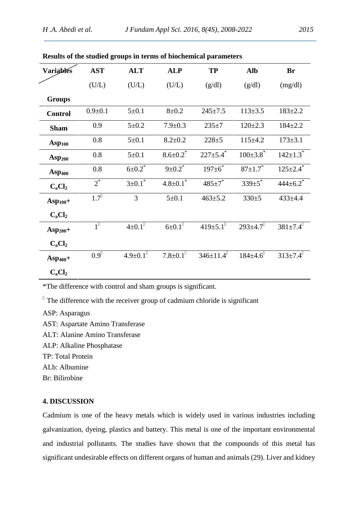| <b>Variables</b> | <b>AST</b>    | <b>ALT</b>               | <b>ALP</b>                 | <b>TP</b>                  | <b>Alb</b>                 | <b>Br</b>                  |
|------------------|---------------|--------------------------|----------------------------|----------------------------|----------------------------|----------------------------|
|                  | (U/L)         | (U/L)                    | (U/L)                      | (g/dl)                     | (g/dl)                     | (mg/dl)                    |
| <b>Groups</b>    |               |                          |                            |                            |                            |                            |
| <b>Control</b>   | $0.9 \pm 0.1$ | $5 \pm 0.1$              | $8 + 0.2$                  | $245 \pm 7.5$              | $113 \pm 3.5$              | $183 \pm 2.2$              |
| <b>Sham</b>      | 0.9           | $5 \pm 0.2$              | $7.9 \pm 0.3$              | $235 + 7$                  | $120 \pm 2.3$              | $184 \pm 2.2$              |
| $Asp_{100}$      | 0.8           | $5 \pm 0.1$              | $8.2 \pm 0.2$              | $228 + 5$                  | $115+4.2$                  | $173 \pm 3.1$              |
| $\bf{Asp}_{200}$ | 0.8           | $5 \pm 0.1$              | $8.6 \pm 0.2$ <sup>*</sup> | $227 \pm 5.4$ <sup>*</sup> | $100 \pm 3.8$ <sup>*</sup> | $142 \pm 1.3$ <sup>*</sup> |
| $Asp_{400}$      | 0.8           | $6 \pm 0.2$ <sup>*</sup> | $9 \pm 0.2$ *              | $197 \pm 6$ <sup>*</sup>   | $87 \pm 1.7$ <sup>*</sup>  | $125 \pm 2.4$ <sup>*</sup> |
| $C_aCl_2$        | $2^*$         | $3 \pm 0.1$ <sup>*</sup> | $4.8 \pm 0.1^*$            | $485 \pm 7^*$              | $339 \pm 5$                | $444\pm 6.2^*$             |
| $Asp_{100}+$     | 1.7           | $\overline{3}$           | $5 \pm 0.1$                | $463 \pm 5.2$              | 330±5                      | $433 \pm 4.4$              |
| $C_aCl_2$        |               |                          |                            |                            |                            |                            |
| $Asp_{200}+$     | 1             | $4\pm0.1$                | $6 + 0.1$                  | $419 \pm 5.1$              | $293 \pm 4.7$              | $381 \pm 7.4$              |
| $C_aCl_2$        |               |                          |                            |                            |                            |                            |
| $Asp_{400}+$     | 0.9           | $4.9 \pm 0.1$            | $7.8 \pm 0.1$              | $346 \pm 11.4$             | $184 \pm 4.6$              | $313 \pm 7.4$              |
| $C_aCl_2$        |               |                          |                            |                            |                            |                            |

|  | Results of the studied groups in terms of biochemical parameters |  |
|--|------------------------------------------------------------------|--|
|--|------------------------------------------------------------------|--|

\*The difference with control and sham groups is significant.

The difference with the receiver group of cadmium chloride is significant

ASP: Asparagus

AST: Aspartate Amino Transferase

ALT: Alanine Amino Transferase

ALP: Alkaline Phosphatase

TP: Total Protein

ALb: Albumine

Br: Bilirobine

# **4. DISCUSSION**

Cadmium is one of the heavy metals which is widely used in various industries including galvanization, dyeing, plastics and battery. This metal is one of the important environmental and industrial pollutants. The studies have shown that the compounds of this metal has significant undesirable effects on different organs of human and animals (29). Liver and kidney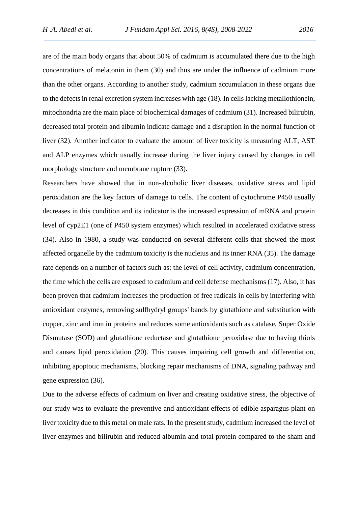are of the main body organs that about 50% of cadmium is accumulated there due to the high concentrations of melatonin in them (30) and thus are under the influence of cadmium more than the other organs. According to another study, cadmium accumulation in these organs due to the defects in renal excretion system increases with age (18). In cells lacking metallothionein, mitochondria are the main place of biochemical damages of cadmium (31). Increased bilirubin, decreased total protein and albumin indicate damage and a disruption in the normal function of liver (32). Another indicator to evaluate the amount of liver toxicity is measuring ALT, AST and ALP enzymes which usually increase during the liver injury caused by changes in cell morphology structure and membrane rupture (33).

Researchers have showed that in non-alcoholic liver diseases, oxidative stress and lipid peroxidation are the key factors of damage to cells. The content of cytochrome P450 usually decreases in this condition and its indicator is the increased expression of mRNA and protein level of cyp2E1 (one of P450 system enzymes) which resulted in accelerated oxidative stress (34). Also in 1980, a study was conducted on several different cells that showed the most affected organelle by the cadmium toxicity is the nucleius and its inner RNA (35). The damage rate depends on a number of factors such as: the level of cell activity, cadmium concentration, the time which the cells are exposed to cadmium and cell defense mechanisms (17). Also, it has been proven that cadmium increases the production of free radicals in cells by interfering with antioxidant enzymes, removing sulfhydryl groups' bands by glutathione and substitution with copper, zinc and iron in proteins and reduces some antioxidants such as catalase, Super Oxide Dismutase (SOD) and glutathione reductase and glutathione peroxidase due to having thiols and causes lipid peroxidation (20). This causes impairing cell growth and differentiation, inhibiting apoptotic mechanisms, blocking repair mechanisms of DNA, signaling pathway and gene expression (36).

Due to the adverse effects of cadmium on liver and creating oxidative stress, the objective of our study was to evaluate the preventive and antioxidant effects of edible asparagus plant on liver toxicity due to this metal on male rats. In the present study, cadmium increased the level of liver enzymes and bilirubin and reduced albumin and total protein compared to the sham and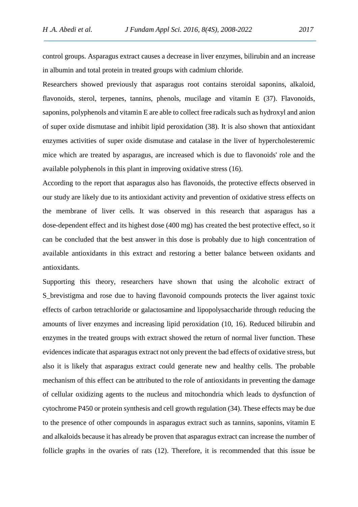control groups. Asparagus extract causes a decrease in liver enzymes, bilirubin and an increase in albumin and total protein in treated groups with cadmium chloride.

Researchers showed previously that asparagus root contains steroidal saponins, alkaloid, flavonoids, sterol, terpenes, tannins, phenols, mucilage and vitamin E (37). Flavonoids, saponins, polyphenols and vitamin E are able to collect free radicals such as hydroxyl and anion of super oxide dismutase and inhibit lipid peroxidation (38). It is also shown that antioxidant enzymes activities of super oxide dismutase and catalase in the liver of hypercholesteremic mice which are treated by asparagus, are increased which is due to flavonoids' role and the available polyphenols in this plant in improving oxidative stress (16).

According to the report that asparagus also has flavonoids, the protective effects observed in our study are likely due to its antioxidant activity and prevention of oxidative stress effects on the membrane of liver cells. It was observed in this research that asparagus has a dose-dependent effect and its highest dose (400 mg) has created the best protective effect, so it can be concluded that the best answer in this dose is probably due to high concentration of available antioxidants in this extract and restoring a better balance between oxidants and antioxidants.

Supporting this theory, researchers have shown that using the alcoholic extract of S brevistigma and rose due to having flavonoid compounds protects the liver against toxic effects of carbon tetrachloride or galactosamine and lipopolysaccharide through reducing the amounts of liver enzymes and increasing lipid peroxidation (10, 16). Reduced bilirubin and enzymes in the treated groups with extract showed the return of normal liver function. These evidences indicate that asparagus extract not only prevent the bad effects of oxidative stress, but also it is likely that asparagus extract could generate new and healthy cells. The probable mechanism of this effect can be attributed to the role of antioxidants in preventing the damage of cellular oxidizing agents to the nucleus and mitochondria which leads to dysfunction of cytochrome P450 or protein synthesis and cell growth regulation (34). These effects may be due to the presence of other compounds in asparagus extract such as tannins, saponins, vitamin E and alkaloids because it has already be proven that asparagus extract can increase the number of follicle graphs in the ovaries of rats (12). Therefore, it is recommended that this issue be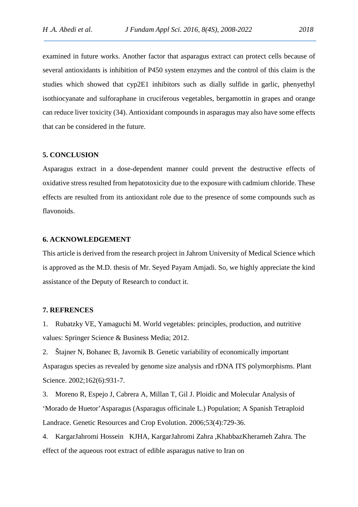examined in future works. Another factor that asparagus extract can protect cells because of several antioxidants is inhibition of P450 system enzymes and the control of this claim is the studies which showed that cyp2E1 inhibitors such as dially sulfide in garlic, phenyethyl isothiocyanate and sulforaphane in cruciferous vegetables, bergamottin in grapes and orange can reduce liver toxicity (34). Antioxidant compounds in asparagus may also have some effects that can be considered in the future.

# **5. CONCLUSION**

Asparagus extract in a dose-dependent manner could prevent the destructive effects of oxidative stress resulted from hepatotoxicity due to the exposure with cadmium chloride. These effects are resulted from its antioxidant role due to the presence of some compounds such as flavonoids.

### **6. ACKNOWLEDGEMENT**

This article is derived from the research project in Jahrom University of Medical Science which is approved as the M.D. thesis of Mr. Seyed Payam Amjadi. So, we highly appreciate the kind assistance of the Deputy of Research to conduct it.

#### **7. REFRENCES**

1. Rubatzky VE, Yamaguchi M. World vegetables: principles, production, and nutritive values: Springer Science & Business Media; 2012.

2. Štajner N, Bohanec B, Javornik B. Genetic variability of economically important Asparagus species as revealed by genome size analysis and rDNA ITS polymorphisms. Plant Science. 2002;162(6):931-7.

3. Moreno R, Espejo J, Cabrera A, Millan T, Gil J. Ploidic and Molecular Analysis of 'Morado de Huetor'Asparagus (Asparagus officinale L.) Population; A Spanish Tetraploid Landrace. Genetic Resources and Crop Evolution. 2006;53(4):729-36.

4. KargarJahromi Hossein KJHA, KargarJahromi Zahra ,KhabbazKherameh Zahra. The effect of the aqueous root extract of edible asparagus native to Iran on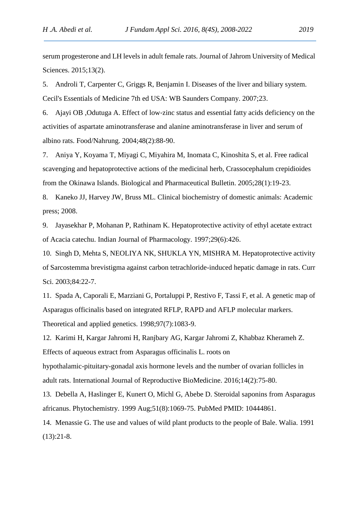serum progesterone and LH levels in adult female rats. Journal of Jahrom University of Medical Sciences. 2015;13(2).

5. Androli T, Carpenter C, Griggs R, Benjamin I. Diseases of the liver and biliary system. Cecil's Essentials of Medicine 7th ed USA: WB Saunders Company. 2007;23.

6. Ajayi OB ,Odutuga A. Effect of low‐zinc status and essential fatty acids deficiency on the activities of aspartate aminotransferase and alanine aminotransferase in liver and serum of albino rats. Food/Nahrung. 2004;48(2):88-90.

7. Aniya Y, Koyama T, Miyagi C, Miyahira M, Inomata C, Kinoshita S, et al. Free radical scavenging and hepatoprotective actions of the medicinal herb, Crassocephalum crepidioides from the Okinawa Islands. Biological and Pharmaceutical Bulletin. 2005;28(1):19-23.

8. Kaneko JJ, Harvey JW, Bruss ML. Clinical biochemistry of domestic animals: Academic press; 2008.

9. Jayasekhar P, Mohanan P, Rathinam K. Hepatoprotective activity of ethyl acetate extract of Acacia catechu. Indian Journal of Pharmacology. 1997;29(6):426.

10. Singh D, Mehta S, NEOLIYA NK, SHUKLA YN, MISHRA M. Hepatoprotective activity of Sarcostemma brevistigma against carbon tetrachloride-induced hepatic damage in rats. Curr Sci. 2003;84:22-7.

11. Spada A, Caporali E, Marziani G, Portaluppi P, Restivo F, Tassi F, et al. A genetic map of Asparagus officinalis based on integrated RFLP, RAPD and AFLP molecular markers. Theoretical and applied genetics. 1998;97(7):1083-9.

12. Karimi H, Kargar Jahromi H, Ranjbary AG, Kargar Jahromi Z, Khabbaz Kherameh Z. Effects of aqueous extract from Asparagus officinalis L. roots on

hypothalamic-pituitary-gonadal axis hormone levels and the number of ovarian follicles in adult rats. International Journal of Reproductive BioMedicine. 2016;14(2):75-80.

13. Debella A, Haslinger E, Kunert O, Michl G, Abebe D. Steroidal saponins from Asparagus africanus. Phytochemistry. 1999 Aug;51(8):1069-75. PubMed PMID: 10444861.

14. Menassie G. The use and values of wild plant products to the people of Bale. Walia. 1991 (13):21-8.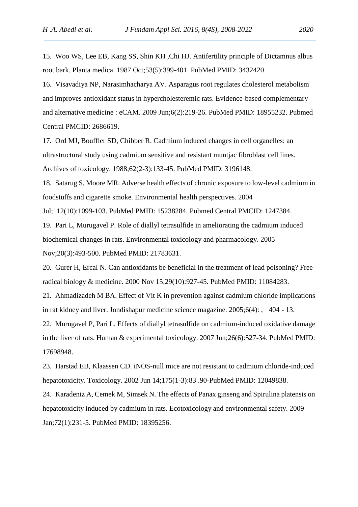15. Woo WS, Lee EB, Kang SS, Shin KH ,Chi HJ. Antifertility principle of Dictamnus albus root bark. Planta medica. 1987 Oct;53(5):399-401. PubMed PMID: 3432420.

16. Visavadiya NP, Narasimhacharya AV. Asparagus root regulates cholesterol metabolism and improves antioxidant status in hypercholesteremic rats. Evidence-based complementary and alternative medicine : eCAM. 2009 Jun;6(2):219-26. PubMed PMID: 18955232. Pubmed Central PMCID: 2686619.

17. Ord MJ, Bouffler SD, Chibber R. Cadmium induced changes in cell organelles: an ultrastructural study using cadmium sensitive and resistant muntjac fibroblast cell lines. Archives of toxicology. 1988;62(2-3):133-45. PubMed PMID: 3196148.

18. Satarug S, Moore MR. Adverse health effects of chronic exposure to low-level cadmium in foodstuffs and cigarette smoke. Environmental health perspectives. 2004

Jul;112(10):1099-103. PubMed PMID: 15238284. Pubmed Central PMCID: 1247384.

19. Pari L, Murugavel P. Role of diallyl tetrasulfide in ameliorating the cadmium induced biochemical changes in rats. Environmental toxicology and pharmacology. 2005 Nov;20(3):493-500. PubMed PMID: 21783631.

20. Gurer H, Ercal N. Can antioxidants be beneficial in the treatment of lead poisoning? Free radical biology & medicine. 2000 Nov 15;29(10):927-45. PubMed PMID: 11084283.

21. Ahmadizadeh M BA. Effect of Vit K in prevention against cadmium chloride implications in rat kidney and liver. Jondishapur medicine science magazine. 2005;6(4): , 404 - 13.

22. Murugavel P, Pari L. Effects of diallyl tetrasulfide on cadmium-induced oxidative damage in the liver of rats. Human & experimental toxicology. 2007 Jun;26(6):527-34. PubMed PMID: 17698948.

23. Harstad EB, Klaassen CD. iNOS-null mice are not resistant to cadmium chloride-induced hepatotoxicity. Toxicology. 2002 Jun 14;175(1-3):83 .90-PubMed PMID: 12049838.

24. Karadeniz A, Cemek M, Simsek N. The effects of Panax ginseng and Spirulina platensis on hepatotoxicity induced by cadmium in rats. Ecotoxicology and environmental safety. 2009 Jan;72(1):231-5. PubMed PMID: 18395256.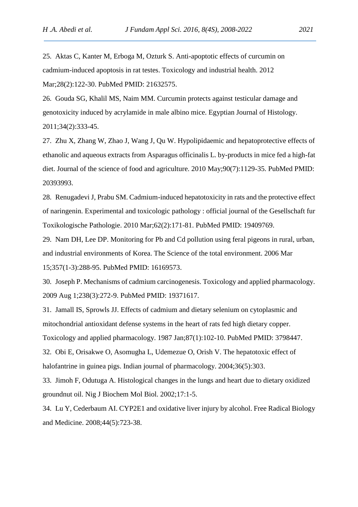25. Aktas C, Kanter M, Erboga M, Ozturk S. Anti-apoptotic effects of curcumin on cadmium-induced apoptosis in rat testes. Toxicology and industrial health. 2012 Mar;28(2):122-30. PubMed PMID: 21632575.

26. Gouda SG, Khalil MS, Naim MM. Curcumin protects against testicular damage and genotoxicity induced by acrylamide in male albino mice. Egyptian Journal of Histology. 2011;34(2):333-45.

27. Zhu X, Zhang W, Zhao J, Wang J, Qu W. Hypolipidaemic and hepatoprotective effects of ethanolic and aqueous extracts from Asparagus officinalis L. by-products in mice fed a high-fat diet. Journal of the science of food and agriculture. 2010 May:90(7):1129-35. PubMed PMID: 20393993.

28. Renugadevi J, Prabu SM. Cadmium-induced hepatotoxicity in rats and the protective effect of naringenin. Experimental and toxicologic pathology : official journal of the Gesellschaft fur Toxikologische Pathologie. 2010 Mar;62(2):171-81. PubMed PMID: 19409769.

29. Nam DH, Lee DP. Monitoring for Pb and Cd pollution using feral pigeons in rural, urban, and industrial environments of Korea. The Science of the total environment. 2006 Mar 15;357(1-3):288-95. PubMed PMID: 16169573.

30. Joseph P. Mechanisms of cadmium carcinogenesis. Toxicology and applied pharmacology. 2009 Aug 1;238(3):272-9. PubMed PMID: 19371617.

31. Jamall IS, Sprowls JJ. Effects of cadmium and dietary selenium on cytoplasmic and mitochondrial antioxidant defense systems in the heart of rats fed high dietary copper. Toxicology and applied pharmacology. 1987 Jan;87(1):102-10. PubMed PMID: 3798447. 32. Obi E, Orisakwe O, Asomugha L, Udemezue O, Orish V. The hepatotoxic effect of

halofantrine in guinea pigs. Indian journal of pharmacology. 2004;36(5):303.

33. Jimoh F, Odutuga A. Histological changes in the lungs and heart due to dietary oxidized groundnut oil. Nig J Biochem Mol Biol. 2002;17:1-5.

34. Lu Y, Cederbaum AI. CYP2E1 and oxidative liver injury by alcohol. Free Radical Biology and Medicine. 2008;44(5):723-38.